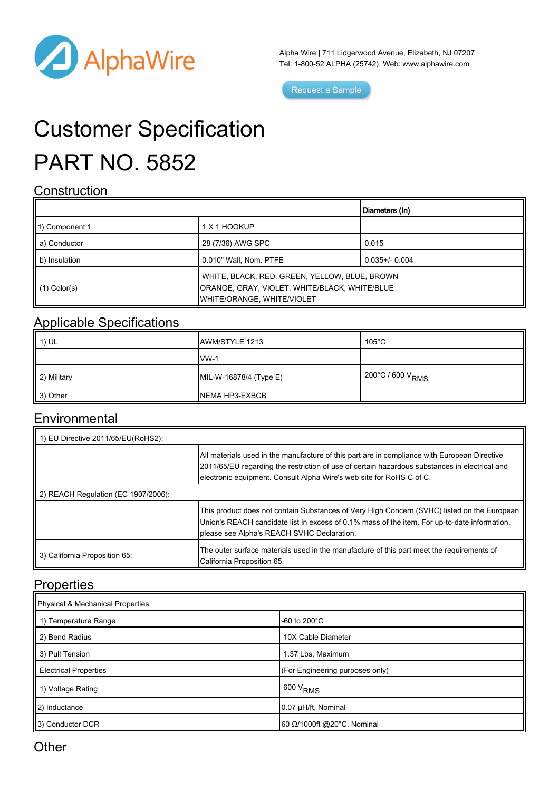

Alpha Wire | 711 Lidgerwood Avenue, Elizabeth, NJ 07207 Tel: 1-800-52 ALPHA (25742), Web: [www.alphawire.com](http://www.alphawire.com)

Request a Sample

# Customer Specification PART NO. 5852

#### **Construction**

|                          |                                                                                                                              | Diameters (In)      |
|--------------------------|------------------------------------------------------------------------------------------------------------------------------|---------------------|
| 11) Component 1          | 1 X 1 HOOKUP                                                                                                                 |                     |
| a) Conductor             | 28 (7/36) AWG SPC                                                                                                            | 0.015               |
| b) Insulation            | 0.010" Wall, Nom. PTFE                                                                                                       | $0.035 + / - 0.004$ |
| $\parallel$ (1) Color(s) | WHITE, BLACK, RED, GREEN, YELLOW, BLUE, BROWN<br>ORANGE, GRAY, VIOLET, WHITE/BLACK, WHITE/BLUE<br>WHITE/ORANGE, WHITE/VIOLET |                     |

#### Applicable Specifications

| $\parallel$ 1) UL | <b>JAWM/STYLE 1213</b>  | $105^{\circ}$ C              |
|-------------------|-------------------------|------------------------------|
|                   | $IVM-1$                 |                              |
| 2) Military       | $ML-W-16878/4$ (Type E) | 200°C / 600 V <sub>RMS</sub> |
| 3) Other          | NEMA HP3-EXBCB          |                              |

#### **Environmental**

| 1 1) EU Directive 2011/65/EU(RoHS2): |                                                                                                                                                                                                                                                                       |  |
|--------------------------------------|-----------------------------------------------------------------------------------------------------------------------------------------------------------------------------------------------------------------------------------------------------------------------|--|
|                                      | All materials used in the manufacture of this part are in compliance with European Directive<br>2011/65/EU regarding the restriction of use of certain hazardous substances in electrical and<br>electronic equipment. Consult Alpha Wire's web site for RoHS C of C. |  |
| 2) REACH Regulation (EC 1907/2006):  |                                                                                                                                                                                                                                                                       |  |
|                                      | This product does not contain Substances of Very High Concern (SVHC) listed on the European<br>Union's REACH candidate list in excess of 0.1% mass of the item. For up-to-date information,<br>please see Alpha's REACH SVHC Declaration.                             |  |
| 3) California Proposition 65:        | The outer surface materials used in the manufacture of this part meet the requirements of<br>California Proposition 65.                                                                                                                                               |  |

### **Properties**

| Physical & Mechanical Properties |                                 |  |
|----------------------------------|---------------------------------|--|
| 1) Temperature Range             | -60 to $200^{\circ}$ C          |  |
| 2) Bend Radius                   | 10X Cable Diameter              |  |
| 3) Pull Tension                  | 1.37 Lbs, Maximum               |  |
| <b>Electrical Properties</b>     | (For Engineering purposes only) |  |
| 1) Voltage Rating                | $1600 V_{RMS}$                  |  |
| (2) Inductance                   | 0.07 µH/ft, Nominal             |  |
| 3) Conductor DCR                 | 60 Ω/1000ft @20°C, Nominal      |  |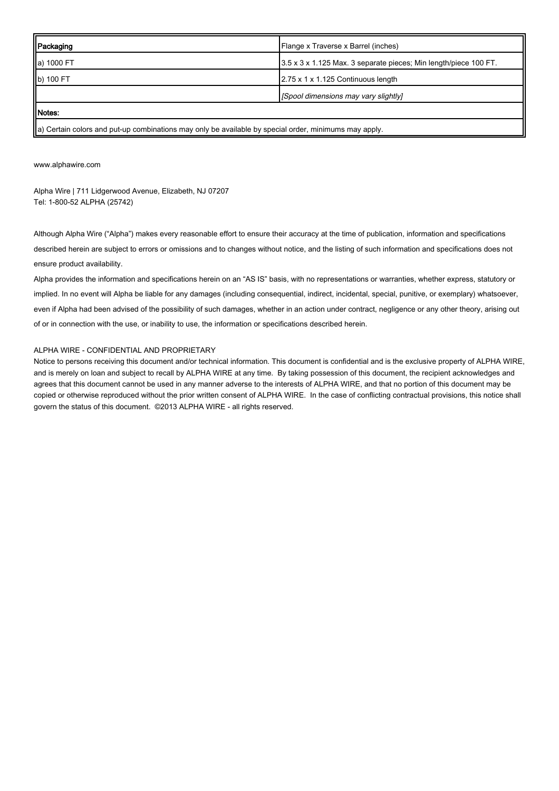| Packaging                                                                                             | Flange x Traverse x Barrel (inches)                              |  |
|-------------------------------------------------------------------------------------------------------|------------------------------------------------------------------|--|
| a) 1000 FT                                                                                            | 3.5 x 3 x 1.125 Max. 3 separate pieces; Min length/piece 100 FT. |  |
| b) 100 FT                                                                                             | 2.75 x 1 x 1.125 Continuous length                               |  |
|                                                                                                       | [Spool dimensions may vary slightly]                             |  |
| Motes:                                                                                                |                                                                  |  |
| a) Certain colors and put-up combinations may only be available by special order, minimums may apply. |                                                                  |  |

[www.alphawire.com](http://www.alphawire.com)

Alpha Wire | 711 Lidgerwood Avenue, Elizabeth, NJ 07207 Tel: 1-800-52 ALPHA (25742)

Although Alpha Wire ("Alpha") makes every reasonable effort to ensure their accuracy at the time of publication, information and specifications described herein are subject to errors or omissions and to changes without notice, and the listing of such information and specifications does not ensure product availability.

Alpha provides the information and specifications herein on an "AS IS" basis, with no representations or warranties, whether express, statutory or implied. In no event will Alpha be liable for any damages (including consequential, indirect, incidental, special, punitive, or exemplary) whatsoever, even if Alpha had been advised of the possibility of such damages, whether in an action under contract, negligence or any other theory, arising out of or in connection with the use, or inability to use, the information or specifications described herein.

#### ALPHA WIRE - CONFIDENTIAL AND PROPRIETARY

Notice to persons receiving this document and/or technical information. This document is confidential and is the exclusive property of ALPHA WIRE, and is merely on loan and subject to recall by ALPHA WIRE at any time. By taking possession of this document, the recipient acknowledges and agrees that this document cannot be used in any manner adverse to the interests of ALPHA WIRE, and that no portion of this document may be copied or otherwise reproduced without the prior written consent of ALPHA WIRE. In the case of conflicting contractual provisions, this notice shall govern the status of this document. ©2013 ALPHA WIRE - all rights reserved.